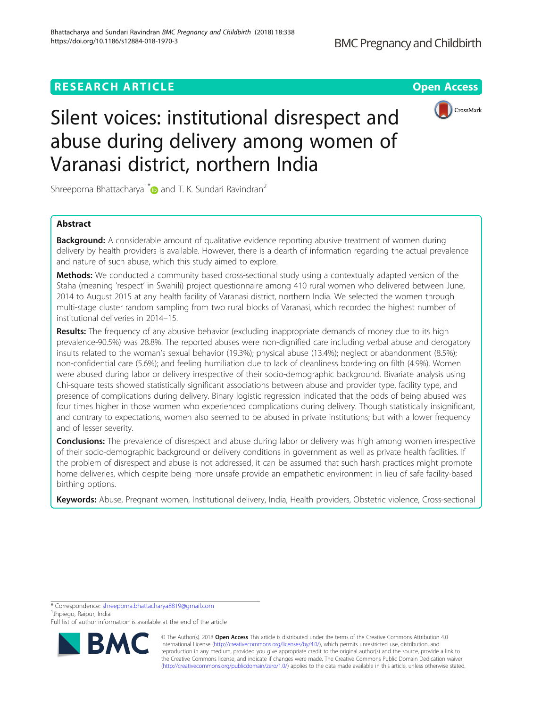## **RESEARCH ARTICLE Example 2014 12:30 The Open Access**



# Silent voices: institutional disrespect and abuse during delivery among women of Varanasi district, northern India

Shreeporna Bhattacharya<sup>1[\\*](http://orcid.org/0000-0002-7400-2346)</sup> and T. K. Sundari Ravindran<sup>2</sup>

## Abstract

**Background:** A considerable amount of qualitative evidence reporting abusive treatment of women during delivery by health providers is available. However, there is a dearth of information regarding the actual prevalence and nature of such abuse, which this study aimed to explore.

**Methods:** We conducted a community based cross-sectional study using a contextually adapted version of the Staha (meaning 'respect' in Swahili) project questionnaire among 410 rural women who delivered between June, 2014 to August 2015 at any health facility of Varanasi district, northern India. We selected the women through multi-stage cluster random sampling from two rural blocks of Varanasi, which recorded the highest number of institutional deliveries in 2014–15.

Results: The frequency of any abusive behavior (excluding inappropriate demands of money due to its high prevalence-90.5%) was 28.8%. The reported abuses were non-dignified care including verbal abuse and derogatory insults related to the woman's sexual behavior (19.3%); physical abuse (13.4%); neglect or abandonment (8.5%); non-confidential care (5.6%); and feeling humiliation due to lack of cleanliness bordering on filth (4.9%). Women were abused during labor or delivery irrespective of their socio-demographic background. Bivariate analysis using Chi-square tests showed statistically significant associations between abuse and provider type, facility type, and presence of complications during delivery. Binary logistic regression indicated that the odds of being abused was four times higher in those women who experienced complications during delivery. Though statistically insignificant, and contrary to expectations, women also seemed to be abused in private institutions; but with a lower frequency and of lesser severity.

**Conclusions:** The prevalence of disrespect and abuse during labor or delivery was high among women irrespective of their socio-demographic background or delivery conditions in government as well as private health facilities. If the problem of disrespect and abuse is not addressed, it can be assumed that such harsh practices might promote home deliveries, which despite being more unsafe provide an empathetic environment in lieu of safe facility-based birthing options.

Keywords: Abuse, Pregnant women, Institutional delivery, India, Health providers, Obstetric violence, Cross-sectional

\* Correspondence: [shreeporna.bhattacharya8819@gmail.com](mailto:shreeporna.bhattacharya8819@gmail.com) <sup>1</sup>

<sup>1</sup> Jhpiego, Raipur, India

Full list of author information is available at the end of the article



© The Author(s). 2018 Open Access This article is distributed under the terms of the Creative Commons Attribution 4.0 International License [\(http://creativecommons.org/licenses/by/4.0/](http://creativecommons.org/licenses/by/4.0/)), which permits unrestricted use, distribution, and reproduction in any medium, provided you give appropriate credit to the original author(s) and the source, provide a link to the Creative Commons license, and indicate if changes were made. The Creative Commons Public Domain Dedication waiver [\(http://creativecommons.org/publicdomain/zero/1.0/](http://creativecommons.org/publicdomain/zero/1.0/)) applies to the data made available in this article, unless otherwise stated.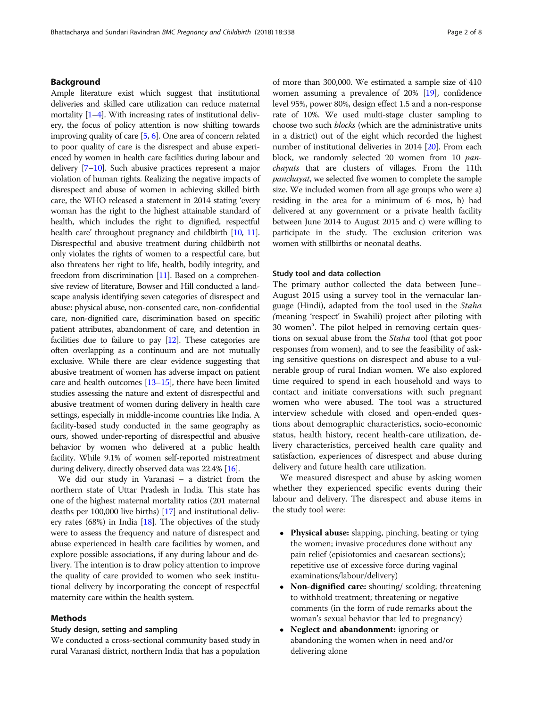## Background

Ample literature exist which suggest that institutional deliveries and skilled care utilization can reduce maternal mortality  $[1-4]$  $[1-4]$  $[1-4]$  $[1-4]$ . With increasing rates of institutional delivery, the focus of policy attention is now shifting towards improving quality of care [\[5,](#page-7-0) [6](#page-7-0)]. One area of concern related to poor quality of care is the disrespect and abuse experienced by women in health care facilities during labour and delivery [\[7](#page-7-0)–[10](#page-7-0)]. Such abusive practices represent a major violation of human rights. Realizing the negative impacts of disrespect and abuse of women in achieving skilled birth care, the WHO released a statement in 2014 stating 'every woman has the right to the highest attainable standard of health, which includes the right to dignified, respectful health care' throughout pregnancy and childbirth [\[10](#page-7-0), [11](#page-7-0)]. Disrespectful and abusive treatment during childbirth not only violates the rights of women to a respectful care, but also threatens her right to life, health, bodily integrity, and freedom from discrimination [[11](#page-7-0)]. Based on a comprehensive review of literature, Bowser and Hill conducted a landscape analysis identifying seven categories of disrespect and abuse: physical abuse, non-consented care, non-confidential care, non-dignified care, discrimination based on specific patient attributes, abandonment of care, and detention in facilities due to failure to pay [[12](#page-7-0)]. These categories are often overlapping as a continuum and are not mutually exclusive. While there are clear evidence suggesting that abusive treatment of women has adverse impact on patient care and health outcomes  $[13-15]$  $[13-15]$  $[13-15]$  $[13-15]$  $[13-15]$ , there have been limited studies assessing the nature and extent of disrespectful and abusive treatment of women during delivery in health care settings, especially in middle-income countries like India. A facility-based study conducted in the same geography as ours, showed under-reporting of disrespectful and abusive behavior by women who delivered at a public health facility. While 9.1% of women self-reported mistreatment during delivery, directly observed data was 22.4% [[16](#page-7-0)].

We did our study in Varanasi – a district from the northern state of Uttar Pradesh in India. This state has one of the highest maternal mortality ratios (201 maternal deaths per 100,000 live births) [[17\]](#page-7-0) and institutional delivery rates  $(68%)$  in India [\[18\]](#page-7-0). The objectives of the study were to assess the frequency and nature of disrespect and abuse experienced in health care facilities by women, and explore possible associations, if any during labour and delivery. The intention is to draw policy attention to improve the quality of care provided to women who seek institutional delivery by incorporating the concept of respectful maternity care within the health system.

## Methods

## Study design, setting and sampling

We conducted a cross-sectional community based study in rural Varanasi district, northern India that has a population of more than 300,000. We estimated a sample size of 410 women assuming a prevalence of 20% [[19](#page-7-0)], confidence level 95%, power 80%, design effect 1.5 and a non-response rate of 10%. We used multi-stage cluster sampling to choose two such blocks (which are the administrative units in a district) out of the eight which recorded the highest number of institutional deliveries in 2014 [[20](#page-7-0)]. From each block, we randomly selected 20 women from 10 panchayats that are clusters of villages. From the 11th panchayat, we selected five women to complete the sample size. We included women from all age groups who were a) residing in the area for a minimum of 6 mos, b) had delivered at any government or a private health facility between June 2014 to August 2015 and c) were willing to participate in the study. The exclusion criterion was women with stillbirths or neonatal deaths.

## Study tool and data collection

The primary author collected the data between June– August 2015 using a survey tool in the vernacular language (Hindi), adapted from the tool used in the Staha (meaning 'respect' in Swahili) project after piloting with 30 women<sup>a</sup>. The pilot helped in removing certain questions on sexual abuse from the Staha tool (that got poor responses from women), and to see the feasibility of asking sensitive questions on disrespect and abuse to a vulnerable group of rural Indian women. We also explored time required to spend in each household and ways to contact and initiate conversations with such pregnant women who were abused. The tool was a structured interview schedule with closed and open-ended questions about demographic characteristics, socio-economic status, health history, recent health-care utilization, delivery characteristics, perceived health care quality and satisfaction, experiences of disrespect and abuse during delivery and future health care utilization.

We measured disrespect and abuse by asking women whether they experienced specific events during their labour and delivery. The disrespect and abuse items in the study tool were:

- Physical abuse: slapping, pinching, beating or tying the women; invasive procedures done without any pain relief (episiotomies and caesarean sections); repetitive use of excessive force during vaginal examinations/labour/delivery)
- Non-dignified care: shouting/ scolding; threatening to withhold treatment; threatening or negative comments (in the form of rude remarks about the woman's sexual behavior that led to pregnancy)
- Neglect and abandonment: ignoring or abandoning the women when in need and/or delivering alone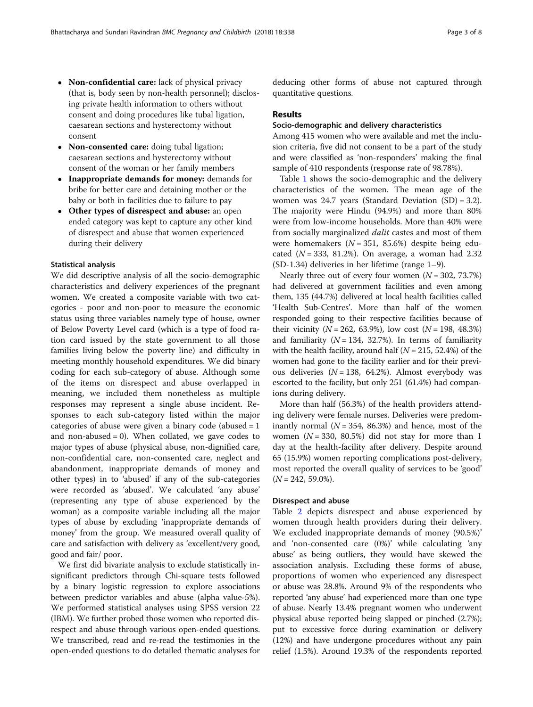- Non-confidential care: lack of physical privacy (that is, body seen by non-health personnel); disclosing private health information to others without consent and doing procedures like tubal ligation, caesarean sections and hysterectomy without consent
- Non-consented care: doing tubal ligation; caesarean sections and hysterectomy without consent of the woman or her family members
- Inappropriate demands for money: demands for bribe for better care and detaining mother or the baby or both in facilities due to failure to pay
- Other types of disrespect and abuse: an open ended category was kept to capture any other kind of disrespect and abuse that women experienced during their delivery

## Statistical analysis

We did descriptive analysis of all the socio-demographic characteristics and delivery experiences of the pregnant women. We created a composite variable with two categories - poor and non-poor to measure the economic status using three variables namely type of house, owner of Below Poverty Level card (which is a type of food ration card issued by the state government to all those families living below the poverty line) and difficulty in meeting monthly household expenditures. We did binary coding for each sub-category of abuse. Although some of the items on disrespect and abuse overlapped in meaning, we included them nonetheless as multiple responses may represent a single abuse incident. Responses to each sub-category listed within the major categories of abuse were given a binary code (abused  $= 1$ ) and non-abused  $= 0$ ). When collated, we gave codes to major types of abuse (physical abuse, non-dignified care, non-confidential care, non-consented care, neglect and abandonment, inappropriate demands of money and other types) in to 'abused' if any of the sub-categories were recorded as 'abused'. We calculated 'any abuse' (representing any type of abuse experienced by the woman) as a composite variable including all the major types of abuse by excluding 'inappropriate demands of money' from the group. We measured overall quality of care and satisfaction with delivery as 'excellent/very good, good and fair/ poor.

We first did bivariate analysis to exclude statistically insignificant predictors through Chi-square tests followed by a binary logistic regression to explore associations between predictor variables and abuse (alpha value-5%). We performed statistical analyses using SPSS version 22 (IBM). We further probed those women who reported disrespect and abuse through various open-ended questions. We transcribed, read and re-read the testimonies in the open-ended questions to do detailed thematic analyses for deducing other forms of abuse not captured through quantitative questions.

## Results

## Socio-demographic and delivery characteristics

Among 415 women who were available and met the inclusion criteria, five did not consent to be a part of the study and were classified as 'non-responders' making the final sample of 410 respondents (response rate of 98.78%).

Table [1](#page-3-0) shows the socio-demographic and the delivery characteristics of the women. The mean age of the women was 24.7 years (Standard Deviation (SD) = 3.2). The majority were Hindu (94.9%) and more than 80% were from low-income households. More than 40% were from socially marginalized *dalit* castes and most of them were homemakers  $(N = 351, 85.6%)$  despite being educated  $(N = 333, 81.2\%)$ . On average, a woman had 2.32 (SD-1.34) deliveries in her lifetime (range 1–9).

Nearly three out of every four women  $(N = 302, 73.7%)$ had delivered at government facilities and even among them, 135 (44.7%) delivered at local health facilities called 'Health Sub-Centres'. More than half of the women responded going to their respective facilities because of their vicinity ( $N = 262, 63.9\%$ ), low cost ( $N = 198, 48.3\%$ ) and familiarity ( $N = 134$ , 32.7%). In terms of familiarity with the health facility, around half ( $N = 215, 52.4\%$ ) of the women had gone to the facility earlier and for their previous deliveries  $(N = 138, 64.2\%)$ . Almost everybody was escorted to the facility, but only 251 (61.4%) had companions during delivery.

More than half (56.3%) of the health providers attending delivery were female nurses. Deliveries were predominantly normal  $(N = 354, 86.3%)$  and hence, most of the women ( $N = 330$ , 80.5%) did not stay for more than 1 day at the health-facility after delivery. Despite around 65 (15.9%) women reporting complications post-delivery, most reported the overall quality of services to be 'good'  $(N = 242, 59.0\%).$ 

## Disrespect and abuse

Table [2](#page-3-0) depicts disrespect and abuse experienced by women through health providers during their delivery. We excluded inappropriate demands of money (90.5%)' and 'non-consented care (0%)' while calculating 'any abuse' as being outliers, they would have skewed the association analysis. Excluding these forms of abuse, proportions of women who experienced any disrespect or abuse was 28.8%. Around 9% of the respondents who reported 'any abuse' had experienced more than one type of abuse. Nearly 13.4% pregnant women who underwent physical abuse reported being slapped or pinched (2.7%); put to excessive force during examination or delivery (12%) and have undergone procedures without any pain relief (1.5%). Around 19.3% of the respondents reported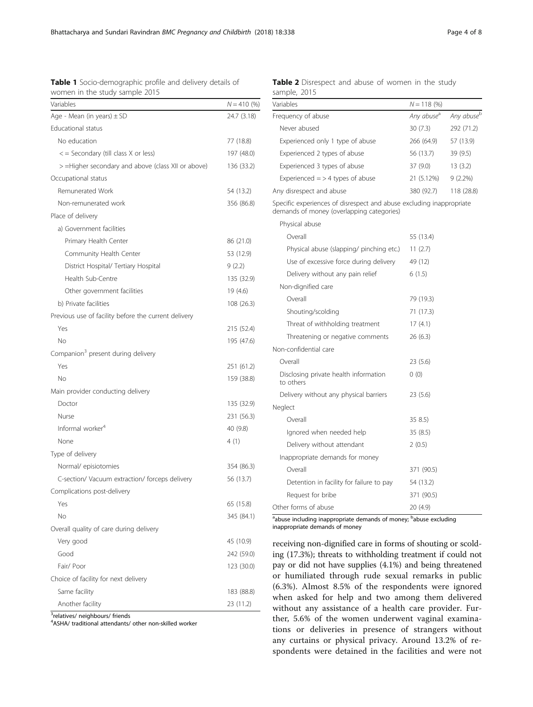<span id="page-3-0"></span>

| <b>Table 1</b> Socio-demographic profile and delivery details of |  |
|------------------------------------------------------------------|--|
| women in the study sample 2015                                   |  |

| Variables                                            | $N = 410(%)$ |
|------------------------------------------------------|--------------|
| Age - Mean (in years) $\pm$ SD                       | 24.7 (3.18)  |
| Educational status                                   |              |
| No education                                         | 77 (18.8)    |
| <= Secondary (till class X or less)                  | 197 (48.0)   |
| >=Higher secondary and above (class XII or above)    | 136 (33.2)   |
| Occupational status                                  |              |
| Remunerated Work                                     | 54 (13.2)    |
| Non-remunerated work                                 | 356 (86.8)   |
| Place of delivery                                    |              |
| a) Government facilities                             |              |
| Primary Health Center                                | 86 (21.0)    |
| Community Health Center                              | 53 (12.9)    |
| District Hospital/ Tertiary Hospital                 | 9(2.2)       |
| Health Sub-Centre                                    | 135 (32.9)   |
| Other government facilities                          | 19 (4.6)     |
| b) Private facilities                                | 108 (26.3)   |
| Previous use of facility before the current delivery |              |
| Yes                                                  | 215 (52.4)   |
| No                                                   | 195 (47.6)   |
| Companion <sup>3</sup> present during delivery       |              |
| Yes                                                  | 251 (61.2)   |
| Νo                                                   | 159 (38.8)   |
| Main provider conducting delivery                    |              |
| Doctor                                               | 135 (32.9)   |
| Nurse                                                | 231 (56.3)   |
| Informal worker <sup>4</sup>                         | 40 (9.8)     |
| None                                                 | 4(1)         |
| Type of delivery                                     |              |
| Normal/ episiotomies                                 | 354 (86.3)   |
| C-section/ Vacuum extraction/ forceps delivery       | 56 (13.7)    |
| Complications post-delivery                          |              |
| Yes                                                  | 65 (15.8)    |
| No                                                   | 345 (84.1)   |
| Overall quality of care during delivery              |              |
| Very good                                            | 45 (10.9)    |
| Good                                                 | 242 (59.0)   |
| Fair/ Poor                                           | 123 (30.0)   |
| Choice of facility for next delivery                 |              |
| Same facility                                        | 183 (88.8)   |
| Another facility                                     | 23 (11.2)    |

<sup>3</sup>relatives/ neighbours/ friends

4 ASHA/ traditional attendants/ other non-skilled worker

|              | <b>Table 2</b> Disrespect and abuse of women in the study |  |  |  |  |
|--------------|-----------------------------------------------------------|--|--|--|--|
| sample, 2015 |                                                           |  |  |  |  |

| Variables                                                                                                         | $N = 118(%)$           |                        |
|-------------------------------------------------------------------------------------------------------------------|------------------------|------------------------|
| Frequency of abuse                                                                                                | Any abuse <sup>a</sup> | Any abuse <sup>b</sup> |
| Never abused                                                                                                      | 30 (7.3)               | 292 (71.2)             |
| Experienced only 1 type of abuse                                                                                  | 266 (64.9)             | 57 (13.9)              |
| Experienced 2 types of abuse                                                                                      | 56 (13.7)              | 39 (9.5)               |
| Experienced 3 types of abuse                                                                                      | 37 (9.0)               | 13(3.2)                |
| Experienced $=$ > 4 types of abuse                                                                                | 21 (5.12%)             | $9(2.2\%)$             |
| Any disrespect and abuse                                                                                          | 380 (92.7)             | 118 (28.8)             |
| Specific experiences of disrespect and abuse excluding inappropriate<br>demands of money (overlapping categories) |                        |                        |
| Physical abuse                                                                                                    |                        |                        |
| Overall                                                                                                           | 55 (13.4)              |                        |
| Physical abuse (slapping/ pinching etc.)                                                                          | 11(2.7)                |                        |
| Use of excessive force during delivery                                                                            | 49 (12)                |                        |
| Delivery without any pain relief                                                                                  | 6(1.5)                 |                        |
| Non-dignified care                                                                                                |                        |                        |
| Overall                                                                                                           | 79 (19.3)              |                        |
| Shouting/scolding                                                                                                 | 71 (17.3)              |                        |
| Threat of withholding treatment                                                                                   | 17(4.1)                |                        |
| Threatening or negative comments                                                                                  | 26 (6.3)               |                        |
| Non-confidential care                                                                                             |                        |                        |
| Overall                                                                                                           | 23 (5.6)               |                        |
| Disclosing private health information<br>to others                                                                | 0(0)                   |                        |
| Delivery without any physical barriers                                                                            | 23 (5.6)               |                        |
| Neglect                                                                                                           |                        |                        |
| Overall                                                                                                           | 35 8.5)                |                        |
| Ignored when needed help                                                                                          | 35(8.5)                |                        |
| Delivery without attendant                                                                                        | 2(0.5)                 |                        |
| Inappropriate demands for money                                                                                   |                        |                        |
| Overall                                                                                                           | 371 (90.5)             |                        |
| Detention in facility for failure to pay                                                                          | 54 (13.2)              |                        |
| Request for bribe                                                                                                 | 371 (90.5)             |                        |
| Other forms of abuse                                                                                              | 20 (4.9)               |                        |

<sup>a</sup>abuse including inappropriate demands of money; <sup>b</sup>abuse excluding inappropriate demands of money

receiving non-dignified care in forms of shouting or scolding (17.3%); threats to withholding treatment if could not pay or did not have supplies (4.1%) and being threatened or humiliated through rude sexual remarks in public (6.3%). Almost 8.5% of the respondents were ignored when asked for help and two among them delivered without any assistance of a health care provider. Further, 5.6% of the women underwent vaginal examinations or deliveries in presence of strangers without any curtains or physical privacy. Around 13.2% of respondents were detained in the facilities and were not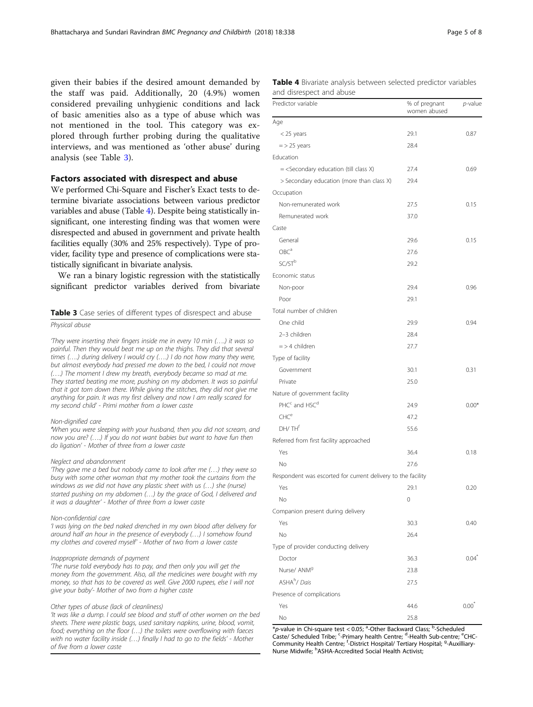given their babies if the desired amount demanded by the staff was paid. Additionally, 20 (4.9%) women considered prevailing unhygienic conditions and lack of basic amenities also as a type of abuse which was not mentioned in the tool. This category was explored through further probing during the qualitative interviews, and was mentioned as 'other abuse' during analysis (see Table 3).

## Factors associated with disrespect and abuse

We performed Chi-Square and Fischer's Exact tests to determine bivariate associations between various predictor variables and abuse (Table 4). Despite being statistically insignificant, one interesting finding was that women were disrespected and abused in government and private health facilities equally (30% and 25% respectively). Type of provider, facility type and presence of complications were statistically significant in bivariate analysis.

We ran a binary logistic regression with the statistically significant predictor variables derived from bivariate

## Table 3 Case series of different types of disrespect and abuse Physical abuse

'They were inserting their fingers inside me in every 10 min (….) it was so painful. Then they would beat me up on the thighs. They did that several times (….) during delivery I would cry (….) I do not how many they were, but almost everybody had pressed me down to the bed, I could not move (….) The moment I drew my breath, everybody became so mad at me. They started beating me more, pushing on my abdomen. It was so painful that it got torn down there. While giving the stitches, they did not give me anything for pain. It was my first delivery and now I am really scared for my second child' - Primi mother from a lower caste

#### Non-dignified care

'When you were sleeping with your husband, then you did not scream, and now you are? (….) If you do not want babies but want to have fun then do ligation' - Mother of three from a lower caste

## Neglect and abandonment

'They gave me a bed but nobody came to look after me (…) they were so busy with some other woman that my mother took the curtains from the windows as we did not have any plastic sheet with us (…) she (nurse) started pushing on my abdomen (…) by the grace of God, I delivered and it was a daughter' - Mother of three from a lower caste

#### Non-confidential care

'I was lying on the bed naked drenched in my own blood after delivery for around half an hour in the presence of everybody (…) I somehow found my clothes and covered myself' - Mother of two from a lower caste

#### Inappropriate demands of payment

'The nurse told everybody has to pay, and then only you will get the money from the government. Also, all the medicines were bought with my money, so that has to be covered as well. Give 2000 rupees, else I will not give your baby'- Mother of two from a higher caste

## Other types of abuse (lack of cleanliness)

'It was like a dump. I could see blood and stuff of other women on the bed sheets. There were plastic bags, used sanitary napkins, urine, blood, vomit, food; everything on the floor (…) the toilets were overflowing with faeces with no water facility inside (…) finally I had to go to the fields' - Mother of five from a lower caste

|  |  |                          |  | Table 4 Bivariate analysis between selected predictor variables |  |
|--|--|--------------------------|--|-----------------------------------------------------------------|--|
|  |  | and disrespect and abuse |  |                                                                 |  |

| Predictor variable                                                                              | % of pregnant<br>women abused | p-value             |
|-------------------------------------------------------------------------------------------------|-------------------------------|---------------------|
| Age                                                                                             |                               |                     |
| < 25 years                                                                                      | 29.1                          | 0.87                |
| $=$ > 25 years                                                                                  | 28.4                          |                     |
| Education                                                                                       |                               |                     |
| = <secondary (till="" class="" education="" td="" x)<=""><td>27.4</td><td>0.69</td></secondary> | 27.4                          | 0.69                |
| > Secondary education (more than class X)                                                       | 29.4                          |                     |
| Occupation                                                                                      |                               |                     |
| Non-remunerated work                                                                            | 27.5                          | 0.15                |
| Remunerated work                                                                                | 37.0                          |                     |
| Caste                                                                                           |                               |                     |
| General                                                                                         | 29.6                          | 0.15                |
| OBC <sup>a</sup>                                                                                | 27.6                          |                     |
| SC/ST <sup>b</sup>                                                                              | 29.2                          |                     |
| Economic status                                                                                 |                               |                     |
| Non-poor                                                                                        | 29.4                          | 0.96                |
| Poor                                                                                            | 29.1                          |                     |
| Total number of children                                                                        |                               |                     |
| One child                                                                                       | 29.9                          | 0.94                |
| 2-3 children                                                                                    | 28.4                          |                     |
| $=$ > 4 children                                                                                | 27.7                          |                     |
| Type of facility                                                                                |                               |                     |
| Government                                                                                      | 30.1                          | 0.31                |
| Private                                                                                         | 25.0                          |                     |
| Nature of government facility                                                                   |                               |                     |
| PHC <sup>c</sup> and HSC <sup>d</sup>                                                           | 24.9                          | $0.00*$             |
| CHC <sup>e</sup>                                                                                | 47.2                          |                     |
| DH/TH <sup>f</sup>                                                                              | 55.6                          |                     |
| Referred from first facility approached                                                         |                               |                     |
| Yes                                                                                             | 36.4                          | 0.18                |
| No                                                                                              | 27.6                          |                     |
| Respondent was escorted for current delivery to the facility                                    |                               |                     |
| Yes                                                                                             | 29.1                          | 0.20                |
| No                                                                                              | 0                             |                     |
| Companion present during delivery                                                               |                               |                     |
| Yes                                                                                             | 30.3                          | 0.40                |
| No                                                                                              | 26.4                          |                     |
| Type of provider conducting delivery                                                            |                               |                     |
| Doctor                                                                                          | 36.3                          | $0.04$ <sup>*</sup> |
| Nurse/ ANM <sup>g</sup>                                                                         | 23.8                          |                     |
| ASHA <sup>h</sup> / Dais                                                                        | 27.5                          |                     |
| Presence of complications                                                                       |                               |                     |
| Yes                                                                                             | 44.6                          | $0.00^{\degree}$    |
| No                                                                                              | 25.8                          |                     |

\*p-value in Chi-square test < 0.05; a-Other Backward Class; b-Scheduled Caste/ Scheduled Tribe; <sup>c</sup>-Primary health Centre; <sup>d</sup>-Health Sub-centre; <sup>e</sup>CHC-Community Health Centre; <sup>f</sup>-District Hospital/ Tertiary Hospital; <sup>g</sup>-Auxilliary-Nurse Midwife; <sup>h</sup>ASHA-Accredited Social Health Activist;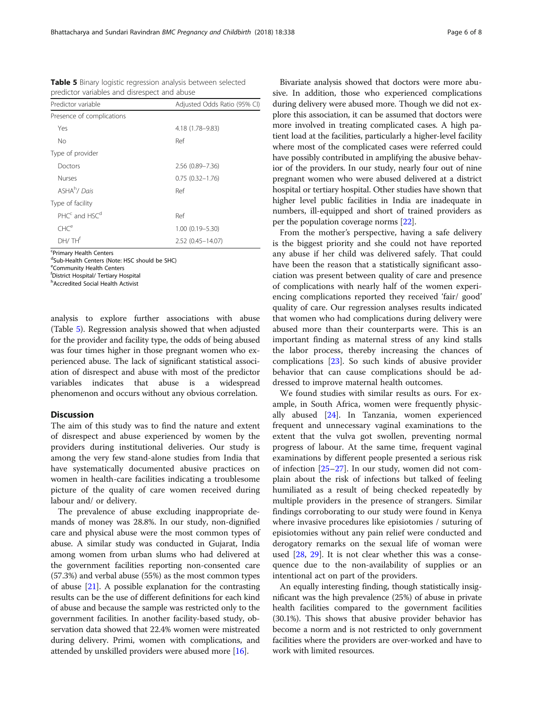analysis to explore further associations with abuse (Table 5). Regression analysis showed that when adjusted for the provider and facility type, the odds of being abused was four times higher in those pregnant women who experienced abuse. The lack of significant statistical association of disrespect and abuse with most of the predictor variables indicates that abuse is a widespread phenomenon and occurs without any obvious correlation.

## **Discussion**

<sup>c</sup>Primary Health Centers

<sup>e</sup>Community Health Centers f District Hospital/ Tertiary Hospital h<br>Accredited Social Health Activist

d Sub-Health Centers (Note: HSC should be SHC)

The aim of this study was to find the nature and extent of disrespect and abuse experienced by women by the providers during institutional deliveries. Our study is among the very few stand-alone studies from India that have systematically documented abusive practices on women in health-care facilities indicating a troublesome picture of the quality of care women received during labour and/ or delivery.

The prevalence of abuse excluding inappropriate demands of money was 28.8%. In our study, non-dignified care and physical abuse were the most common types of abuse. A similar study was conducted in Gujarat, India among women from urban slums who had delivered at the government facilities reporting non-consented care (57.3%) and verbal abuse (55%) as the most common types of abuse [\[21\]](#page-7-0). A possible explanation for the contrasting results can be the use of different definitions for each kind of abuse and because the sample was restricted only to the government facilities. In another facility-based study, observation data showed that 22.4% women were mistreated during delivery. Primi, women with complications, and attended by unskilled providers were abused more [\[16\]](#page-7-0).

Bivariate analysis showed that doctors were more abusive. In addition, those who experienced complications during delivery were abused more. Though we did not explore this association, it can be assumed that doctors were more involved in treating complicated cases. A high patient load at the facilities, particularly a higher-level facility where most of the complicated cases were referred could have possibly contributed in amplifying the abusive behavior of the providers. In our study, nearly four out of nine pregnant women who were abused delivered at a district hospital or tertiary hospital. Other studies have shown that higher level public facilities in India are inadequate in numbers, ill-equipped and short of trained providers as per the population coverage norms [\[22](#page-7-0)].

From the mother's perspective, having a safe delivery is the biggest priority and she could not have reported any abuse if her child was delivered safely. That could have been the reason that a statistically significant association was present between quality of care and presence of complications with nearly half of the women experiencing complications reported they received 'fair/ good' quality of care. Our regression analyses results indicated that women who had complications during delivery were abused more than their counterparts were. This is an important finding as maternal stress of any kind stalls the labor process, thereby increasing the chances of complications [[23\]](#page-7-0). So such kinds of abusive provider behavior that can cause complications should be addressed to improve maternal health outcomes.

We found studies with similar results as ours. For example, in South Africa, women were frequently physically abused [[24](#page-7-0)]. In Tanzania, women experienced frequent and unnecessary vaginal examinations to the extent that the vulva got swollen, preventing normal progress of labour. At the same time, frequent vaginal examinations by different people presented a serious risk of infection [[25](#page-7-0)–[27](#page-7-0)]. In our study, women did not complain about the risk of infections but talked of feeling humiliated as a result of being checked repeatedly by multiple providers in the presence of strangers. Similar findings corroborating to our study were found in Kenya where invasive procedures like episiotomies / suturing of episiotomies without any pain relief were conducted and derogatory remarks on the sexual life of woman were used [[28](#page-7-0), [29\]](#page-7-0). It is not clear whether this was a consequence due to the non-availability of supplies or an intentional act on part of the providers.

An equally interesting finding, though statistically insignificant was the high prevalence (25%) of abuse in private health facilities compared to the government facilities (30.1%). This shows that abusive provider behavior has become a norm and is not restricted to only government facilities where the providers are over-worked and have to work with limited resources.

Table 5 Binary logistic regression analysis between selected predictor variables and disrespect and abuse

| Predictor variable                    | Adjusted Odds Ratio (95% CI) |  |  |  |  |
|---------------------------------------|------------------------------|--|--|--|--|
| Presence of complications             |                              |  |  |  |  |
| Yes                                   | 4.18 (1.78–9.83)             |  |  |  |  |
| Νo                                    | Ref                          |  |  |  |  |
| Type of provider                      |                              |  |  |  |  |
| Doctors                               | 2.56 (0.89-7.36)             |  |  |  |  |
| <b>Nurses</b>                         | $0.75(0.32 - 1.76)$          |  |  |  |  |
| ASHA <sup>h</sup> / Dais              | Ref                          |  |  |  |  |
| Type of facility                      |                              |  |  |  |  |
| PHC <sup>c</sup> and HSC <sup>d</sup> | Ref                          |  |  |  |  |
| CHC <sup>e</sup>                      | $1.00(0.19 - 5.30)$          |  |  |  |  |
| DH/TH <sup>f</sup>                    | 2.52 (0.45-14.07)            |  |  |  |  |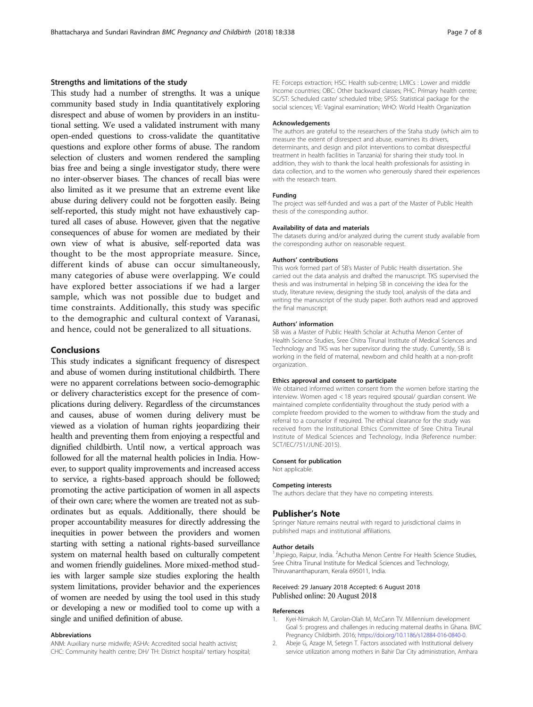## <span id="page-6-0"></span>Strengths and limitations of the study

This study had a number of strengths. It was a unique community based study in India quantitatively exploring disrespect and abuse of women by providers in an institutional setting. We used a validated instrument with many open-ended questions to cross-validate the quantitative questions and explore other forms of abuse. The random selection of clusters and women rendered the sampling bias free and being a single investigator study, there were no inter-observer biases. The chances of recall bias were also limited as it we presume that an extreme event like abuse during delivery could not be forgotten easily. Being self-reported, this study might not have exhaustively captured all cases of abuse. However, given that the negative consequences of abuse for women are mediated by their own view of what is abusive, self-reported data was thought to be the most appropriate measure. Since, different kinds of abuse can occur simultaneously, many categories of abuse were overlapping. We could have explored better associations if we had a larger sample, which was not possible due to budget and time constraints. Additionally, this study was specific to the demographic and cultural context of Varanasi, and hence, could not be generalized to all situations.

## Conclusions

This study indicates a significant frequency of disrespect and abuse of women during institutional childbirth. There were no apparent correlations between socio-demographic or delivery characteristics except for the presence of complications during delivery. Regardless of the circumstances and causes, abuse of women during delivery must be viewed as a violation of human rights jeopardizing their health and preventing them from enjoying a respectful and dignified childbirth. Until now, a vertical approach was followed for all the maternal health policies in India. However, to support quality improvements and increased access to service, a rights-based approach should be followed; promoting the active participation of women in all aspects of their own care; where the women are treated not as subordinates but as equals. Additionally, there should be proper accountability measures for directly addressing the inequities in power between the providers and women starting with setting a national rights-based surveillance system on maternal health based on culturally competent and women friendly guidelines. More mixed-method studies with larger sample size studies exploring the health system limitations, provider behavior and the experiences of women are needed by using the tool used in this study or developing a new or modified tool to come up with a single and unified definition of abuse.

#### Abbreviations

ANM: Auxiliary nurse midwife; ASHA: Accredited social health activist; CHC: Community health centre; DH/ TH: District hospital/ tertiary hospital; FE: Forceps extraction; HSC: Health sub-centre; LMICs : Lower and middle income countries; OBC: Other backward classes; PHC: Primary health centre; SC/ST: Scheduled caste/ scheduled tribe; SPSS: Statistical package for the social sciences; VE: Vaginal examination; WHO: World Health Organization

#### Acknowledgements

The authors are grateful to the researchers of the Staha study (which aim to measure the extent of disrespect and abuse, examines its drivers, determinants, and design and pilot interventions to combat disrespectful treatment in health facilities in Tanzania) for sharing their study tool. In addition, they wish to thank the local health professionals for assisting in data collection, and to the women who generously shared their experiences with the research team.

#### Funding

The project was self-funded and was a part of the Master of Public Health thesis of the corresponding author.

#### Availability of data and materials

The datasets during and/or analyzed during the current study available from the corresponding author on reasonable request.

#### Authors' contributions

This work formed part of SB's Master of Public Health dissertation. She carried out the data analysis and drafted the manuscript. TKS supervised the thesis and was instrumental in helping SB in conceiving the idea for the study, literature review, designing the study tool, analysis of the data and writing the manuscript of the study paper. Both authors read and approved the final manuscript.

#### Authors' information

SB was a Master of Public Health Scholar at Achutha Menon Center of Health Science Studies, Sree Chitra Tirunal Institute of Medical Sciences and Technology and TKS was her supervisor during the study. Currently, SB is working in the field of maternal, newborn and child health at a non-profit organization.

## Ethics approval and consent to participate

We obtained informed written consent from the women before starting the interview. Women aged < 18 years required spousal/ guardian consent. We maintained complete confidentiality throughout the study period with a complete freedom provided to the women to withdraw from the study and referral to a counselor if required. The ethical clearance for the study was received from the Institutional Ethics Committee of Sree Chitra Tirunal Institute of Medical Sciences and Technology, India (Reference number: SCT/IEC/751/JUNE-2015).

#### Consent for publication

Not applicable.

#### Competing interests

The authors declare that they have no competing interests.

## Publisher's Note

Springer Nature remains neutral with regard to jurisdictional claims in published maps and institutional affiliations.

#### Author details

<sup>1</sup>Jhpiego, Raipur, India. <sup>2</sup>Achutha Menon Centre For Health Science Studies, Sree Chitra Tirunal Institute for Medical Sciences and Technology, Thiruvananthapuram, Kerala 695011, India.

## Received: 29 January 2018 Accepted: 6 August 2018 Published online: 20 August 2018

#### References

- Kyei-Nimakoh M, Carolan-Olah M, McCann TV. Millennium development Goal 5: progress and challenges in reducing maternal deaths in Ghana. BMC Pregnancy Childbirth. 2016; <https://doi.org/10.1186/s12884-016-0840-0>.
- 2. Abeje G, Azage M, Setegn T. Factors associated with Institutional delivery service utilization among mothers in Bahir Dar City administration, Amhara